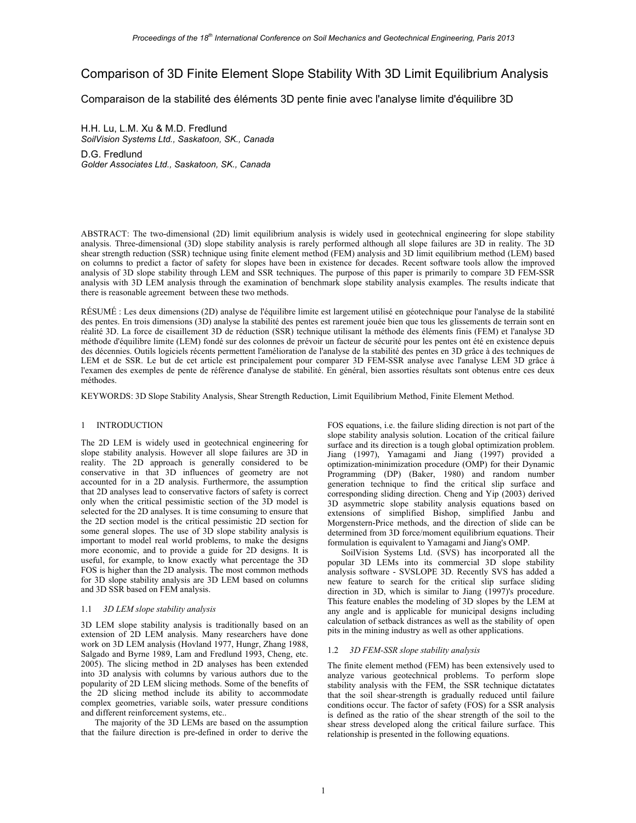# Comparison of 3D Finite Element Slope Stability With 3D Limit Equilibrium Analysis

Comparaison de la stabilité des éléments 3D pente finie avec l'analyse limite d'équilibre 3D

H.H. Lu, L.M. Xu & M.D. Fredlund *SoilVision Systems Ltd., Saskatoon, SK., Canada*  D.G. Fredlund *Golder Associates Ltd., Saskatoon, SK., Canada* 

ABSTRACT: The two-dimensional (2D) limit equilibrium analysis is widely used in geotechnical engineering for slope stability analysis. Three-dimensional (3D) slope stability analysis is rarely performed although all slope failures are 3D in reality. The 3D shear strength reduction (SSR) technique using finite element method (FEM) analysis and 3D limit equilibrium method (LEM) based on columns to predict a factor of safety for slopes have been in existence for decades. Recent software tools allow the improved analysis of 3D slope stability through LEM and SSR techniques. The purpose of this paper is primarily to compare 3D FEM-SSR analysis with 3D LEM analysis through the examination of benchmark slope stability analysis examples. The results indicate that there is reasonable agreement between these two methods.

RÉSUMÉ : Les deux dimensions (2D) analyse de l'équilibre limite est largement utilisé en géotechnique pour l'analyse de la stabilité des pentes. En trois dimensions (3D) analyse la stabilité des pentes est rarement jouée bien que tous les glissements de terrain sont en réalité 3D. La force de cisaillement 3D de réduction (SSR) technique utilisant la méthode des éléments finis (FEM) et l'analyse 3D méthode d'équilibre limite (LEM) fondé sur des colonnes de prévoir un facteur de sécurité pour les pentes ont été en existence depuis des décennies. Outils logiciels récents permettent l'amélioration de l'analyse de la stabilité des pentes en 3D grâce à des techniques de LEM et de SSR. Le but de cet article est principalement pour comparer 3D FEM-SSR analyse avec l'analyse LEM 3D grâce à l'examen des exemples de pente de référence d'analyse de stabilité. En général, bien assorties résultats sont obtenus entre ces deux méthodes.

KEYWORDS: 3D Slope Stability Analysis, Shear Strength Reduction, Limit Equilibrium Method, Finite Element Method.

### 1 INTRODUCTION

The 2D LEM is widely used in geotechnical engineering for slope stability analysis. However all slope failures are 3D in reality. The 2D approach is generally considered to be conservative in that 3D influences of geometry are not accounted for in a 2D analysis. Furthermore, the assumption that 2D analyses lead to conservative factors of safety is correct only when the critical pessimistic section of the 3D model is selected for the 2D analyses. It is time consuming to ensure that the 2D section model is the critical pessimistic 2D section for some general slopes. The use of 3D slope stability analysis is important to model real world problems, to make the designs more economic, and to provide a guide for 2D designs. It is useful, for example, to know exactly what percentage the 3D FOS is higher than the 2D analysis. The most common methods for 3D slope stability analysis are 3D LEM based on columns and 3D SSR based on FEM analysis.

#### 1.1 *3D LEM slope stability analysis*

3D LEM slope stability analysis is traditionally based on an extension of 2D LEM analysis. Many researchers have done work on 3D LEM analysis (Hovland 1977, Hungr, Zhang 1988, Salgado and Byrne 1989, Lam and Fredlund 1993, Cheng, etc. 2005). The slicing method in 2D analyses has been extended into 3D analysis with columns by various authors due to the popularity of 2D LEM slicing methods. Some of the benefits of the 2D slicing method include its ability to accommodate complex geometries, variable soils, water pressure conditions and different reinforcement systems, etc..

 The majority of the 3D LEMs are based on the assumption that the failure direction is pre-defined in order to derive the FOS equations, i.e. the failure sliding direction is not part of the slope stability analysis solution. Location of the critical failure surface and its direction is a tough global optimization problem. Jiang (1997), Yamagami and Jiang (1997) provided a optimization-minimization procedure (OMP) for their Dynamic Programming (DP) (Baker, 1980) and random number generation technique to find the critical slip surface and corresponding sliding direction. Cheng and Yip (2003) derived 3D asymmetric slope stability analysis equations based on extensions of simplified Bishop, simplified Janbu and Morgenstern-Price methods, and the direction of slide can be determined from 3D force/moment equilibrium equations. Their formulation is equivalent to Yamagami and Jiang's OMP.

 SoilVision Systems Ltd. (SVS) has incorporated all the popular 3D LEMs into its commercial 3D slope stability analysis software - SVSLOPE 3D. Recently SVS has added a new feature to search for the critical slip surface sliding direction in 3D, which is similar to Jiang (1997)'s procedure. This feature enables the modeling of 3D slopes by the LEM at any angle and is applicable for municipal designs including calculation of setback distrances as well as the stability of open pits in the mining industry as well as other applications.

## 1.2 *3D FEM-SSR slope stability analysis*

The finite element method (FEM) has been extensively used to analyze various geotechnical problems. To perform slope stability analysis with the FEM, the SSR technique dictatates that the soil shear-strength is gradually reduced until failure conditions occur. The factor of safety (FOS) for a SSR analysis is defined as the ratio of the shear strength of the soil to the shear stress developed along the critical failure surface. This relationship is presented in the following equations.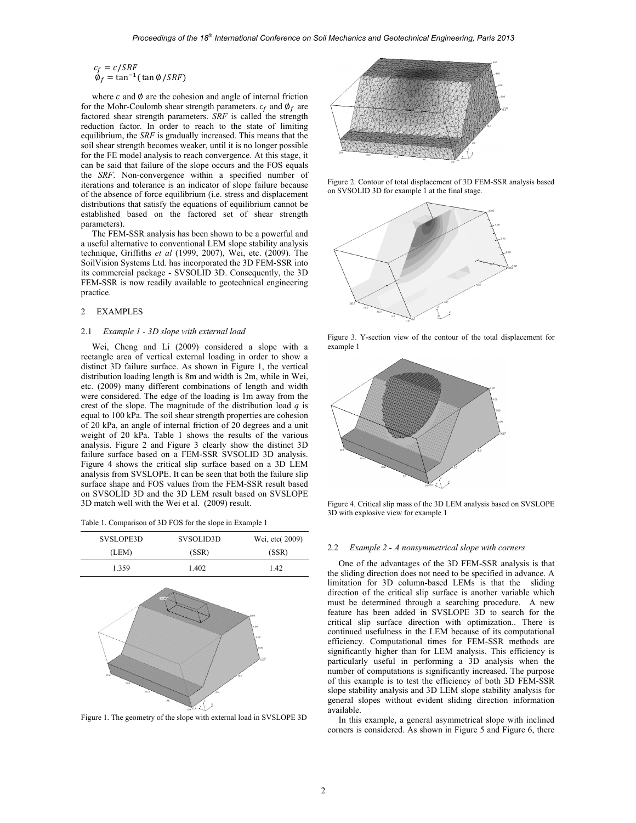$$
c_f = c/SRF
$$
  
\n $\emptyset_f = \tan^{-1}(\tan \emptyset / SRF)$ 

where  $c$  and  $\emptyset$  are the cohesion and angle of internal friction for the Mohr-Coulomb shear strength parameters.  $c_f$  and  $\phi_f$  are factored shear strength parameters. *SRF* is called the strength reduction factor. In order to reach to the state of limiting equilibrium, the *SRF* is gradually increased. This means that the soil shear strength becomes weaker, until it is no longer possible for the FE model analysis to reach convergence. At this stage, it can be said that failure of the slope occurs and the FOS equals the *SRF*. Non-convergence within a specified number of iterations and tolerance is an indicator of slope failure because of the absence of force equilibrium (i.e. stress and displacement distributions that satisfy the equations of equilibrium cannot be established based on the factored set of shear strength parameters).

The FEM-SSR analysis has been shown to be a powerful and a useful alternative to conventional LEM slope stability analysis technique, Griffiths *et al* (1999, 2007), Wei, etc. (2009). The SoilVision Systems Ltd. has incorporated the 3D FEM-SSR into its commercial package - SVSOLID 3D. Consequently, the 3D FEM-SSR is now readily available to geotechnical engineering practice.

#### 2 EXAMPLES

#### 2.1 *Example 1 - 3D slope with external load*

Wei, Cheng and Li (2009) considered a slope with a rectangle area of vertical external loading in order to show a distinct 3D failure surface. As shown in Figure 1, the vertical distribution loading length is 8m and width is 2m, while in Wei, etc. (2009) many different combinations of length and width were considered. The edge of the loading is 1m away from the crest of the slope. The magnitude of the distribution load *q* is equal to 100 kPa. The soil shear strength properties are cohesion of 20 kPa, an angle of internal friction of 20 degrees and a unit weight of 20 kPa. Table 1 shows the results of the various analysis. Figure 2 and Figure 3 clearly show the distinct 3D failure surface based on a FEM-SSR SVSOLID 3D analysis. Figure 4 shows the critical slip surface based on a 3D LEM analysis from SVSLOPE. It can be seen that both the failure slip surface shape and FOS values from the FEM-SSR result based on SVSOLID 3D and the 3D LEM result based on SVSLOPE 3D match well with the Wei et al. (2009) result.

|  |  | Table 1. Comparison of 3D FOS for the slope in Example 1 |
|--|--|----------------------------------------------------------|
|  |  |                                                          |



Figure 1. The geometry of the slope with external load in SVSLOPE 3D



Figure 2. Contour of total displacement of 3D FEM-SSR analysis based on SVSOLID 3D for example 1 at the final stage.



Figure 3. Y-section view of the contour of the total displacement for example 1



Figure 4. Critical slip mass of the 3D LEM analysis based on SVSLOPE 3D with explosive view for example 1

#### 2.2 *Example 2 - A nonsymmetrical slope with corners*

One of the advantages of the 3D FEM-SSR analysis is that the sliding direction does not need to be specified in advance. A limitation for 3D column-based LEMs is that the sliding direction of the critical slip surface is another variable which must be determined through a searching procedure. A new feature has been added in SVSLOPE 3D to search for the critical slip surface direction with optimization.. There is continued usefulness in the LEM because of its computational efficiency. Computational times for FEM-SSR methods are significantly higher than for LEM analysis. This efficiency is particularly useful in performing a 3D analysis when the number of computations is significantly increased. The purpose of this example is to test the efficiency of both 3D FEM-SSR slope stability analysis and 3D LEM slope stability analysis for general slopes without evident sliding direction information available.

In this example, a general asymmetrical slope with inclined corners is considered. As shown in Figure 5 and Figure 6, there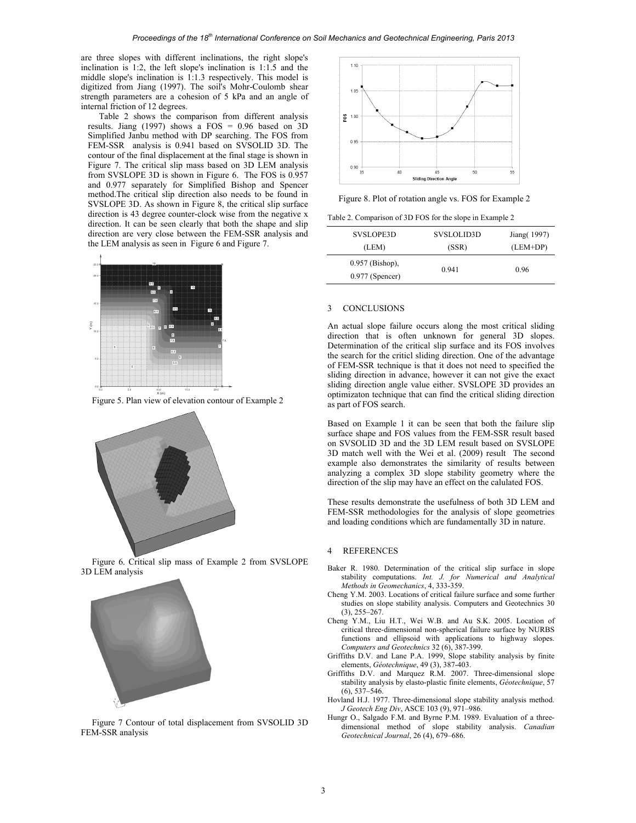are three slopes with different inclinations, the right slope's inclination is 1:2, the left slope's inclination is 1:1.5 and the middle slope's inclination is 1:1.3 respectively. This model is digitized from Jiang (1997). The soil's Mohr-Coulomb shear strength parameters are a cohesion of 5 kPa and an angle of internal friction of 12 degrees.

Table 2 shows the comparison from different analysis results. Jiang (1997) shows a FOS = 0.96 based on 3D Simplified Janbu method with DP searching. The FOS from FEM-SSR analysis is 0.941 based on SVSOLID 3D. The contour of the final displacement at the final stage is shown in Figure 7. The critical slip mass based on 3D LEM analysis from SVSLOPE 3D is shown in Figure 6. The FOS is 0.957 and 0.977 separately for Simplified Bishop and Spencer method.The critical slip direction also needs to be found in SVSLOPE 3D. As shown in Figure 8, the critical slip surface direction is 43 degree counter-clock wise from the negative x direction. It can be seen clearly that both the shape and slip direction are very close between the FEM-SSR analysis and the LEM analysis as seen in Figure 6 and Figure 7.



Figure 5. Plan view of elevation contour of Example 2



Figure 6. Critical slip mass of Example 2 from SVSLOPE 3D LEM analysis



Figure 7 Contour of total displacement from SVSOLID 3D FEM-SSR analysis



Figure 8. Plot of rotation angle vs. FOS for Example 2

Table 2. Comparison of 3D FOS for the slope in Example 2

| SVSLOPE3D                              | SVSLOLID3D | Jiang (1997) |
|----------------------------------------|------------|--------------|
| (LEM)                                  | (SSR)      | $(LEM+DP)$   |
| $0.957$ (Bishop),<br>$0.977$ (Spencer) | 0.941      | 0.96         |

#### 3 CONCLUSIONS

An actual slope failure occurs along the most critical sliding direction that is often unknown for general 3D slopes. Determination of the critical slip surface and its FOS involves the search for the criticl sliding direction. One of the advantage of FEM-SSR technique is that it does not need to specified the sliding direction in advance, however it can not give the exact sliding direction angle value either. SVSLOPE 3D provides an optimizaton technique that can find the critical sliding direction as part of FOS search.

Based on Example 1 it can be seen that both the failure slip surface shape and FOS values from the FEM-SSR result based on SVSOLID 3D and the 3D LEM result based on SVSLOPE 3D match well with the Wei et al. (2009) result The second example also demonstrates the similarity of results between analyzing a complex 3D slope stability geometry where the direction of the slip may have an effect on the calulated FOS.

These results demonstrate the usefulness of both 3D LEM and FEM-SSR methodologies for the analysis of slope geometries and loading conditions which are fundamentally 3D in nature.

#### 4 REFERENCES

- Baker R. 1980. Determination of the critical slip surface in slope stability computations. *Int. J. for Numerical and Analytical Methods in Geomechanics*, 4, 333-359.
- Cheng Y.M. 2003. Locations of critical failure surface and some further studies on slope stability analysis. Computers and Geotechnics 30 (3), 255–267.
- Cheng Y.M., Liu H.T., Wei W.B. and Au S.K. 2005. Location of critical three-dimensional non-spherical failure surface by NURBS functions and ellipsoid with applications to highway slopes. *Computers and Geotechnics* 32 (6), 387-399.
- Griffiths D.V. and Lane P.A. 1999, Slope stability analysis by finite elements, *Géotechnique*, 49 (3), 387-403.
- Griffiths D.V. and Marquez R.M. 2007. Three-dimensional slope stability analysis by elasto-plastic finite elements, *Géotechnique*, 57 (6), 537–546.
- Hovland H.J. 1977. Three-dimensional slope stability analysis method. *J Geotech Eng Div*, ASCE 103 (9), 971–986.
- Hungr O., Salgado F.M. and Byrne P.M. 1989. Evaluation of a threedimensional method of slope stability analysis. *Canadian Geotechnical Journal*, 26 (4), 679–686.